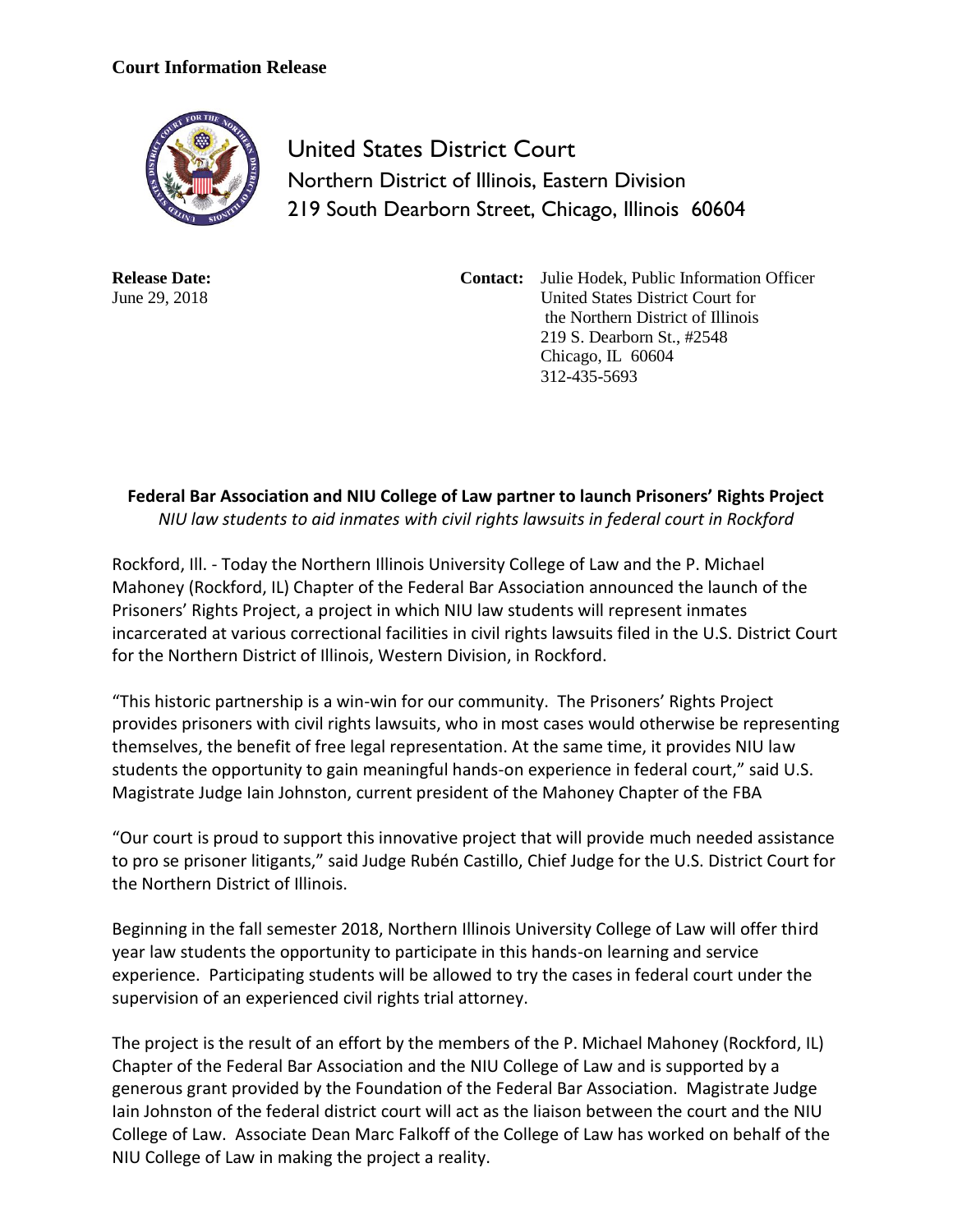## **Court Information Release**



United States District Court Northern District of Illinois, Eastern Division 219 South Dearborn Street, Chicago, Illinois 60604

**Release Date:** June 29, 2018

**Contact:** Julie Hodek, Public Information Officer United States District Court for the Northern District of Illinois 219 S. Dearborn St., #2548 Chicago, IL 60604 312-435-5693

## **Federal Bar Association and NIU College of Law partner to launch Prisoners' Rights Project** *NIU law students to aid inmates with civil rights lawsuits in federal court in Rockford*

Rockford, Ill. - Today the Northern Illinois University College of Law and the P. Michael Mahoney (Rockford, IL) Chapter of the Federal Bar Association announced the launch of the Prisoners' Rights Project, a project in which NIU law students will represent inmates incarcerated at various correctional facilities in civil rights lawsuits filed in the U.S. District Court for the Northern District of Illinois, Western Division, in Rockford.

"This historic partnership is a win-win for our community. The Prisoners' Rights Project provides prisoners with civil rights lawsuits, who in most cases would otherwise be representing themselves, the benefit of free legal representation. At the same time, it provides NIU law students the opportunity to gain meaningful hands-on experience in federal court," said U.S. Magistrate Judge Iain Johnston, current president of the Mahoney Chapter of the FBA

"Our court is proud to support this innovative project that will provide much needed assistance to pro se prisoner litigants," said Judge Rubén Castillo, Chief Judge for the U.S. District Court for the Northern District of Illinois.

Beginning in the fall semester 2018, Northern Illinois University College of Law will offer third year law students the opportunity to participate in this hands-on learning and service experience. Participating students will be allowed to try the cases in federal court under the supervision of an experienced civil rights trial attorney.

The project is the result of an effort by the members of the P. Michael Mahoney (Rockford, IL) Chapter of the Federal Bar Association and the NIU College of Law and is supported by a generous grant provided by the Foundation of the Federal Bar Association. Magistrate Judge Iain Johnston of the federal district court will act as the liaison between the court and the NIU College of Law. Associate Dean Marc Falkoff of the College of Law has worked on behalf of the NIU College of Law in making the project a reality.